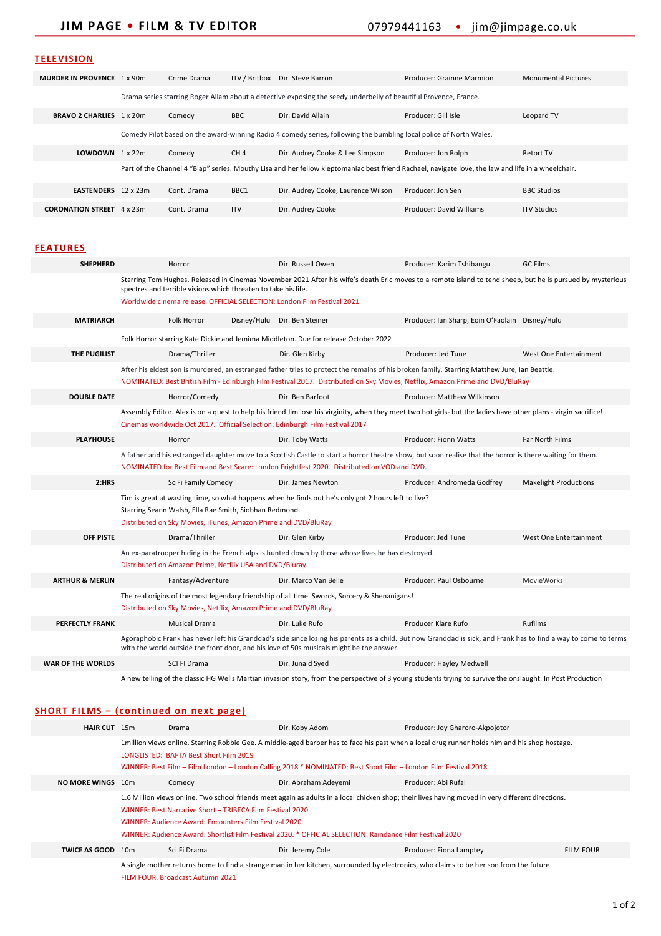## **TELEVISION**

| <b>MURDER IN PROVENCE</b> 1 x 90m |                                                                                                                                                    | Crime Drama | ITV / Britbox   | Dir. Steve Barron                  | Producer: Grainne Marmion | <b>Monumental Pictures</b> |
|-----------------------------------|----------------------------------------------------------------------------------------------------------------------------------------------------|-------------|-----------------|------------------------------------|---------------------------|----------------------------|
|                                   | Drama series starring Roger Allam about a detective exposing the seedy underbelly of beautiful Provence, France.                                   |             |                 |                                    |                           |                            |
| BRAVO 2 CHARLIES 1 x 20m          |                                                                                                                                                    | Comedy      | <b>BBC</b>      | Dir. David Allain                  | Producer: Gill Isle       | Leopard TV                 |
|                                   | Comedy Pilot based on the award-winning Radio 4 comedy series, following the bumbling local police of North Wales.                                 |             |                 |                                    |                           |                            |
| <b>LOWDOWN</b> $1 \times 22m$     |                                                                                                                                                    | Comedy      | CH <sub>4</sub> | Dir. Audrey Cooke & Lee Simpson    | Producer: Jon Rolph       | Retort TV                  |
|                                   | Part of the Channel 4 "Blap" series. Mouthy Lisa and her fellow kleptomaniac best friend Rachael, navigate love, the law and life in a wheelchair. |             |                 |                                    |                           |                            |
| <b>EASTENDERS</b> 12 x 23m        |                                                                                                                                                    | Cont. Drama | BBC1            | Dir. Audrey Cooke, Laurence Wilson | Producer: Jon Sen         | <b>BBC Studios</b>         |
| <b>CORONATION STREET</b>          | 4 x 23m                                                                                                                                            | Cont. Drama | <b>ITV</b>      | Dir. Audrey Cooke                  | Producer: David Williams  | <b>ITV Studios</b>         |

## **FEATURES**

| <b>SHEPHERD</b>            | Horror                                                                                                                                                                                                                                                                                                  |  | Dir. Russell Owen            | Producer: Karim Tshibangu                       | <b>GC Films</b>              |  |
|----------------------------|---------------------------------------------------------------------------------------------------------------------------------------------------------------------------------------------------------------------------------------------------------------------------------------------------------|--|------------------------------|-------------------------------------------------|------------------------------|--|
|                            | Starring Tom Hughes. Released in Cinemas November 2021 After his wife's death Eric moves to a remote island to tend sheep, but he is pursued by mysterious<br>spectres and terrible visions which threaten to take his life.<br>Worldwide cinema release. OFFICIAL SELECTION: London Film Festival 2021 |  |                              |                                                 |                              |  |
| <b>MATRIARCH</b>           | Folk Horror                                                                                                                                                                                                                                                                                             |  | Disney/Hulu Dir. Ben Steiner | Producer: Ian Sharp, Eoin O'Faolain Disney/Hulu |                              |  |
|                            | Folk Horror starring Kate Dickie and Jemima Middleton. Due for release October 2022                                                                                                                                                                                                                     |  |                              |                                                 |                              |  |
| <b>THE PUGILIST</b>        | Drama/Thriller                                                                                                                                                                                                                                                                                          |  | Dir. Glen Kirby              | Producer: Jed Tune                              | West One Entertainment       |  |
|                            | After his eldest son is murdered, an estranged father tries to protect the remains of his broken family. Starring Matthew Jure, Ian Beattie.<br>NOMINATED: Best British Film - Edinburgh Film Festival 2017. Distributed on Sky Movies, Netflix, Amazon Prime and DVD/BluRay                            |  |                              |                                                 |                              |  |
| <b>DOUBLE DATE</b>         | Horror/Comedy                                                                                                                                                                                                                                                                                           |  | Dir. Ben Barfoot             | Producer: Matthew Wilkinson                     |                              |  |
|                            | Assembly Editor. Alex is on a quest to help his friend Jim lose his virginity, when they meet two hot girls- but the ladies have other plans - virgin sacrifice!<br>Cinemas worldwide Oct 2017. Official Selection: Edinburgh Film Festival 2017                                                        |  |                              |                                                 |                              |  |
| <b>PLAYHOUSE</b>           | Horror                                                                                                                                                                                                                                                                                                  |  | Dir. Toby Watts              | <b>Producer: Fionn Watts</b>                    | Far North Films              |  |
|                            | A father and his estranged daughter move to a Scottish Castle to start a horror theatre show, but soon realise that the horror is there waiting for them.<br>NOMINATED for Best Film and Best Scare: London Frightfest 2020. Distributed on VOD and DVD.                                                |  |                              |                                                 |                              |  |
| 2:HRS                      | SciFi Family Comedy                                                                                                                                                                                                                                                                                     |  | Dir. James Newton            | Producer: Andromeda Godfrey                     | <b>Makelight Productions</b> |  |
|                            | Tim is great at wasting time, so what happens when he finds out he's only got 2 hours left to live?<br>Starring Seann Walsh, Ella Rae Smith, Siobhan Redmond.<br>Distributed on Sky Movies, iTunes, Amazon Prime and DVD/BluRay                                                                         |  |                              |                                                 |                              |  |
| <b>OFF PISTE</b>           | Drama/Thriller                                                                                                                                                                                                                                                                                          |  | Dir. Glen Kirby              | Producer: Jed Tune                              | West One Entertainment       |  |
|                            | An ex-paratrooper hiding in the French alps is hunted down by those whose lives he has destroyed.<br>Distributed on Amazon Prime, Netflix USA and DVD/Bluray                                                                                                                                            |  |                              |                                                 |                              |  |
| <b>ARTHUR &amp; MERLIN</b> | Fantasy/Adventure                                                                                                                                                                                                                                                                                       |  | Dir. Marco Van Belle         | Producer: Paul Osbourne                         | <b>MovieWorks</b>            |  |
|                            | The real origins of the most legendary friendship of all time. Swords, Sorcery & Shenanigans!<br>Distributed on Sky Movies, Netflix, Amazon Prime and DVD/BluRay                                                                                                                                        |  |                              |                                                 |                              |  |
| <b>PERFECTLY FRANK</b>     | <b>Musical Drama</b>                                                                                                                                                                                                                                                                                    |  | Dir. Luke Rufo               | Producer Klare Rufo                             | <b>Rufilms</b>               |  |
|                            | Agoraphobic Frank has never left his Granddad's side since losing his parents as a child. But now Granddad is sick, and Frank has to find a way to come to terms<br>with the world outside the front door, and his love of 50s musicals might be the answer.                                            |  |                              |                                                 |                              |  |
| <b>WAR OF THE WORLDS</b>   | SCI FI Drama                                                                                                                                                                                                                                                                                            |  | Dir. Junaid Syed             | Producer: Hayley Medwell                        |                              |  |
|                            |                                                                                                                                                                                                                                                                                                         |  |                              |                                                 |                              |  |

A new telling of the classic HG Wells Martian invasion story, from the perspective of 3 young students trying to survive the onslaught. In Post Production

## **SHORT FILMS – ( continued on next page)**

| HAIR CUT 15m             |                                                                                                                                                                                                                                                                                                                                                                                      | Drama                            | Dir. Koby Adom       | Producer: Joy Gharoro-Akpojotor                                                                                                        |                  |  |  |
|--------------------------|--------------------------------------------------------------------------------------------------------------------------------------------------------------------------------------------------------------------------------------------------------------------------------------------------------------------------------------------------------------------------------------|----------------------------------|----------------------|----------------------------------------------------------------------------------------------------------------------------------------|------------------|--|--|
|                          | 1 million views online. Starring Robbie Gee. A middle-aged barber has to face his past when a local drug runner holds him and his shop hostage.<br><b>LONGLISTED: BAFTA Best Short Film 2019</b><br>WINNER: Best Film - Film London - London Calling 2018 * NOMINATED: Best Short Film - London Film Festival 2018                                                                   |                                  |                      |                                                                                                                                        |                  |  |  |
| <b>NO MORE WINGS</b>     | 10 <sub>m</sub>                                                                                                                                                                                                                                                                                                                                                                      | Comedy                           | Dir. Abraham Adeyemi | Producer: Abi Rufai                                                                                                                    |                  |  |  |
|                          | 1.6 Million views online. Two school friends meet again as adults in a local chicken shop; their lives having moved in very different directions.<br>WINNER: Best Narrative Short - TRIBECA Film Festival 2020.<br>WINNER: Audience Award: Encounters Film Festival 2020<br>WINNER: Audience Award: Shortlist Film Festival 2020. * OFFICIAL SELECTION: Raindance Film Festival 2020 |                                  |                      |                                                                                                                                        |                  |  |  |
| <b>TWICE AS GOOD</b> 10m |                                                                                                                                                                                                                                                                                                                                                                                      | Sci Fi Drama                     | Dir. Jeremy Cole     | Producer: Fiona Lamptey                                                                                                                | <b>FILM FOUR</b> |  |  |
|                          |                                                                                                                                                                                                                                                                                                                                                                                      | FILM FOUR. Broadcast Autumn 2021 |                      | A single mother returns home to find a strange man in her kitchen, surrounded by electronics, who claims to be her son from the future |                  |  |  |